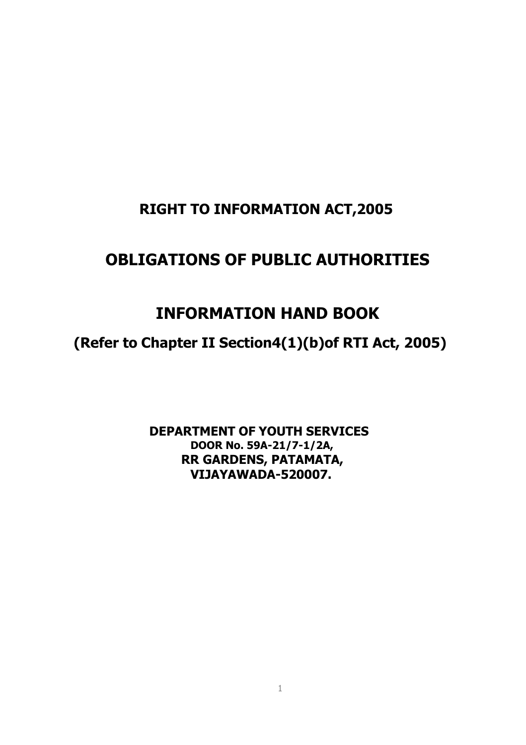# **OBLIGATIONS OF PUBLIC AUTHORITIES**

# **INFORMATION HAND BOOK**

**(Refer to Chapter II Section4(1)(b)of RTI Act, 2005)**

**DEPARTMENT OF YOUTH SERVICES DOOR No. 59A-21/7-1/2A, RR GARDENS, PATAMATA, VIJAYAWADA-520007.**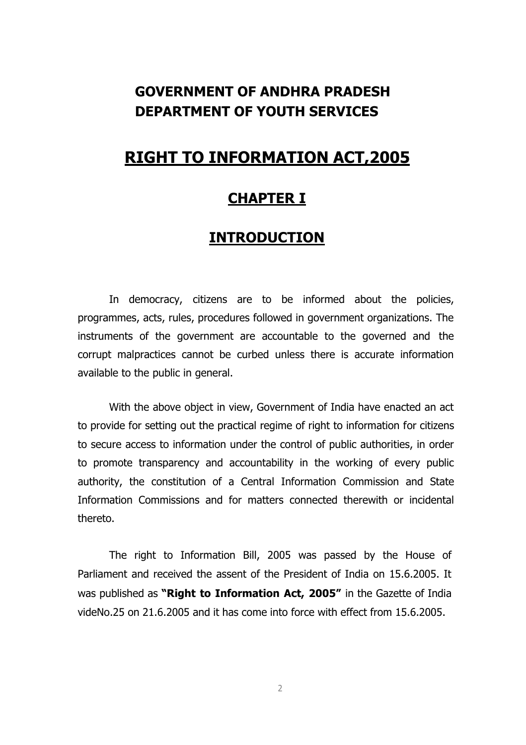## **GOVERNMENT OF ANDHRA PRADESH DEPARTMENT OF YOUTH SERVICES**

## **RIGHT TO INFORMATION ACT,2005**

## **CHAPTER I**

### **INTRODUCTION**

In democracy, citizens are to be informed about the policies, programmes, acts, rules, procedures followed in government organizations. The instruments of the government are accountable to the governed and the corrupt malpractices cannot be curbed unless there is accurate information available to the public in general.

With the above object in view, Government of India have enacted an act to provide for setting out the practical regime of right to information for citizens to secure access to information under the control of public authorities, in order to promote transparency and accountability in the working of every public authority, the constitution of a Central Information Commission and State Information Commissions and for matters connected therewith or incidental thereto.

The right to Information Bill, 2005 was passed by the House of Parliament and received the assent of the President of India on 15.6.2005. It was published as **"Right to Information Act, 2005"** in the Gazette of India videNo.25 on 21.6.2005 and it has come into force with effect from 15.6.2005.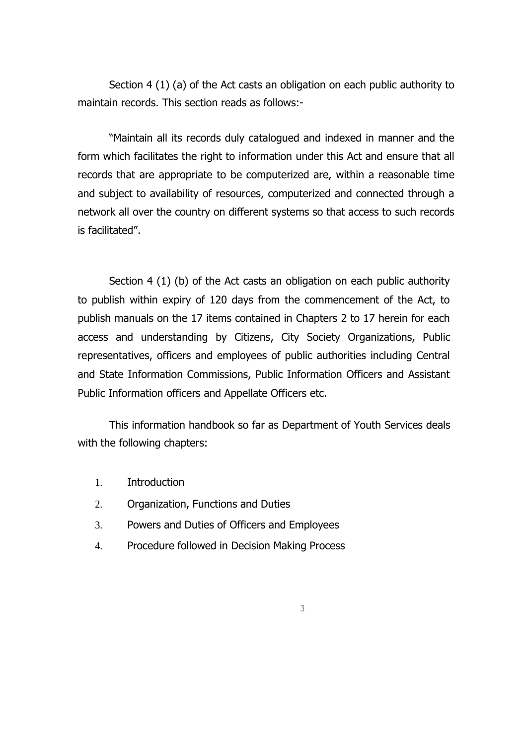Section 4 (1) (a) of the Act casts an obligation on each public authority to maintain records. This section reads as follows:-

"Maintain all its records duly catalogued and indexed in manner and the form which facilitates the right to information under this Act and ensure that all records that are appropriate to be computerized are, within a reasonable time and subject to availability of resources, computerized and connected through a network all over the country on different systems so that access to such records is facilitated".

Section 4 (1) (b) of the Act casts an obligation on each public authority to publish within expiry of 120 days from the commencement of the Act, to publish manuals on the 17 items contained in Chapters 2 to 17 herein for each access and understanding by Citizens, City Society Organizations, Public representatives, officers and employees of public authorities including Central and State Information Commissions, Public Information Officers and Assistant Public Information officers and Appellate Officers etc.

This information handbook so far as Department of Youth Services deals with the following chapters:

- 1. Introduction
- 2. Organization, Functions and Duties
- 3. Powers and Duties of Officers and Employees
- 4. Procedure followed in Decision Making Process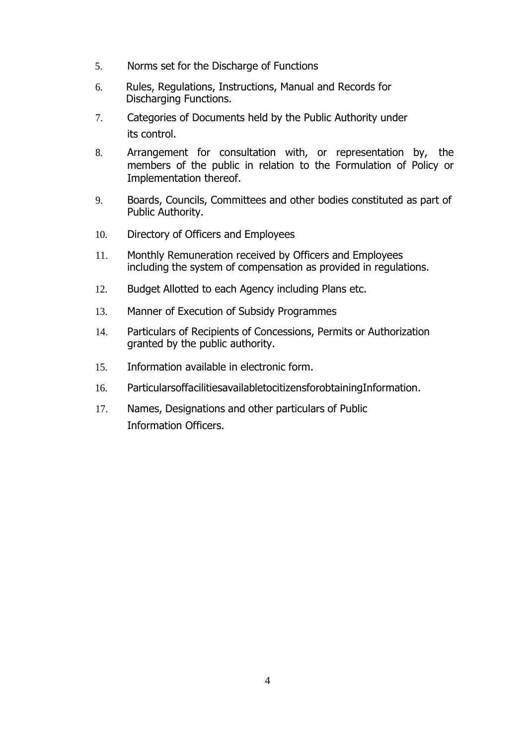- 5. Norms set for the Discharge of Functions
- 6. Rules, Regulations, Instructions, Manual and Records for Discharging Functions.
- 7. Categories of Documents held by the Public Authority under its control.
- 8. Arrangement for consultation with, or representation by, the members of the public in relation to the Formulation of Policy or Implementation thereof.
- 9. Boards, Councils, Committees and other bodies constituted as part of Public Authority.
- 10. Directory of Officers and Employees
- 11. Monthly Remuneration received by Officers and Employees including the system of compensation as provided in regulations.
- 12. Budget Allotted to each Agency including Plans etc.
- 13. Manner of Execution of Subsidy Programmes
- 14. Particulars of Recipients of Concessions, Permits or Authorization granted by the public authority.
- 15. Information available in electronic form.
- 16. ParticularsoffacilitiesavailabletocitizensforobtainingInformation.
- 17. Names, Designations and other particulars of Public Information Officers.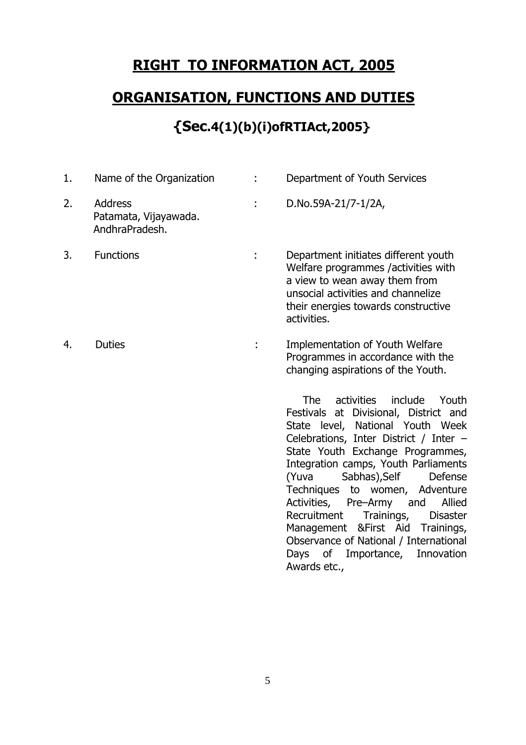## **ORGANISATION, FUNCTIONS AND DUTIES**

## **{Sec.4(1)(b)(i)ofRTIAct,2005}**

| 1. | Name of the Organization                                  | ÷  | Department of Youth Services                                                                                                                                                                                                                                                                                                                                                                                                                                                                                                           |
|----|-----------------------------------------------------------|----|----------------------------------------------------------------------------------------------------------------------------------------------------------------------------------------------------------------------------------------------------------------------------------------------------------------------------------------------------------------------------------------------------------------------------------------------------------------------------------------------------------------------------------------|
| 2. | <b>Address</b><br>Patamata, Vijayawada.<br>AndhraPradesh. |    | D.No.59A-21/7-1/2A,                                                                                                                                                                                                                                                                                                                                                                                                                                                                                                                    |
| 3. | <b>Functions</b>                                          | t, | Department initiates different youth<br>Welfare programmes /activities with<br>a view to wean away them from<br>unsocial activities and channelize<br>their energies towards constructive<br>activities.                                                                                                                                                                                                                                                                                                                               |
| 4. | <b>Duties</b>                                             |    | <b>Implementation of Youth Welfare</b><br>Programmes in accordance with the<br>changing aspirations of the Youth.                                                                                                                                                                                                                                                                                                                                                                                                                      |
|    |                                                           |    | The<br>activities<br>include<br>Youth<br>Festivals at Divisional, District and<br>State level, National Youth Week<br>Celebrations, Inter District / Inter -<br>State Youth Exchange Programmes,<br>Integration camps, Youth Parliaments<br>Sabhas), Self<br>(Yuva<br>Defense<br>Techniques to women, Adventure<br>Activities, Pre-Army and<br>Allied<br>Trainings,<br>Recruitment<br><b>Disaster</b><br>Management & First Aid Trainings,<br>Observance of National / International<br>Days of Importance, Innovation<br>Awards etc., |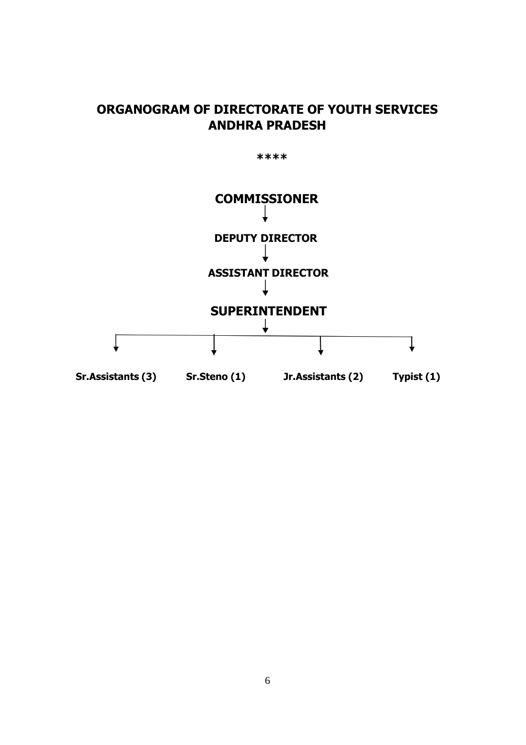#### **ORGANOGRAM OF DIRECTORATE OF YOUTH SERVICES ANDHRA PRADESH**

**\*\*\*\***

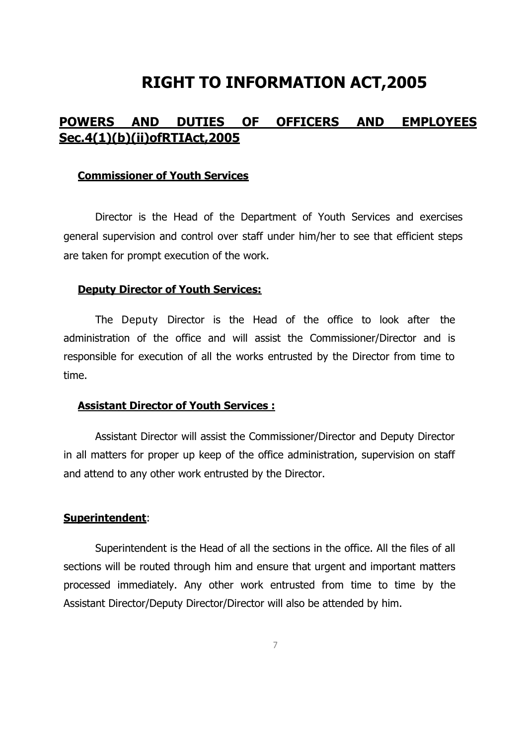#### **POWERS AND DUTIES OF OFFICERS AND EMPLOYEES Sec.4(1)(b)(ii)ofRTIAct,2005**

#### **Commissioner of Youth Services**

Director is the Head of the Department of Youth Services and exercises general supervision and control over staff under him/her to see that efficient steps are taken for prompt execution of the work.

#### **Deputy Director of Youth Services:**

The Deputy Director is the Head of the office to look after the administration of the office and will assist the Commissioner/Director and is responsible for execution of all the works entrusted by the Director from time to time.

#### **Assistant Director of Youth Services :**

Assistant Director will assist the Commissioner/Director and Deputy Director in all matters for proper up keep of the office administration, supervision on staff and attend to any other work entrusted by the Director.

#### **Superintendent**:

Superintendent is the Head of all the sections in the office. All the files of all sections will be routed through him and ensure that urgent and important matters processed immediately. Any other work entrusted from time to time by the Assistant Director/Deputy Director/Director will also be attended by him.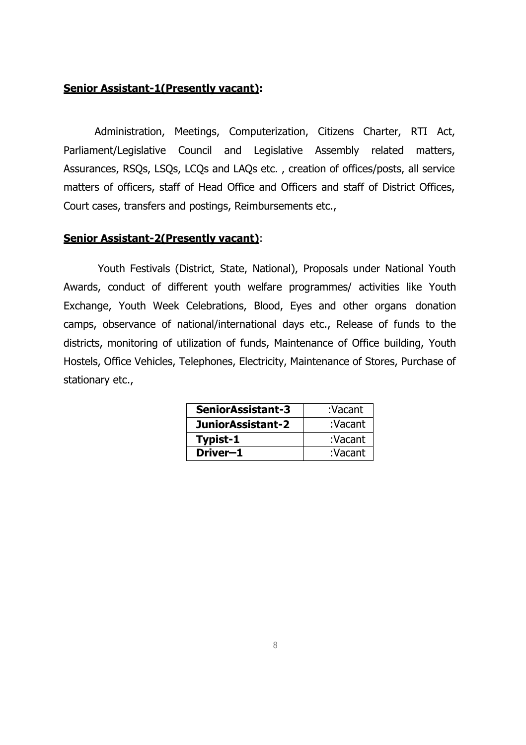#### **Senior Assistant-1(Presently vacant):**

Administration, Meetings, Computerization, Citizens Charter, RTI Act, Parliament/Legislative Council and Legislative Assembly related matters, Assurances, RSQs, LSQs, LCQs and LAQs etc. , creation of offices/posts, all service matters of officers, staff of Head Office and Officers and staff of District Offices, Court cases, transfers and postings, Reimbursements etc.,

#### **Senior Assistant-2(Presently vacant)**:

Youth Festivals (District, State, National), Proposals under National Youth Awards, conduct of different youth welfare programmes/ activities like Youth Exchange, Youth Week Celebrations, Blood, Eyes and other organs donation camps, observance of national/international days etc., Release of funds to the districts, monitoring of utilization of funds, Maintenance of Office building, Youth Hostels, Office Vehicles, Telephones, Electricity, Maintenance of Stores, Purchase of stationary etc.,

| SeniorAssistant-3 | :Vacant |
|-------------------|---------|
| JuniorAssistant-2 | :Vacant |
| Typist-1          | :Vacant |
| Driver-1          | :Vacant |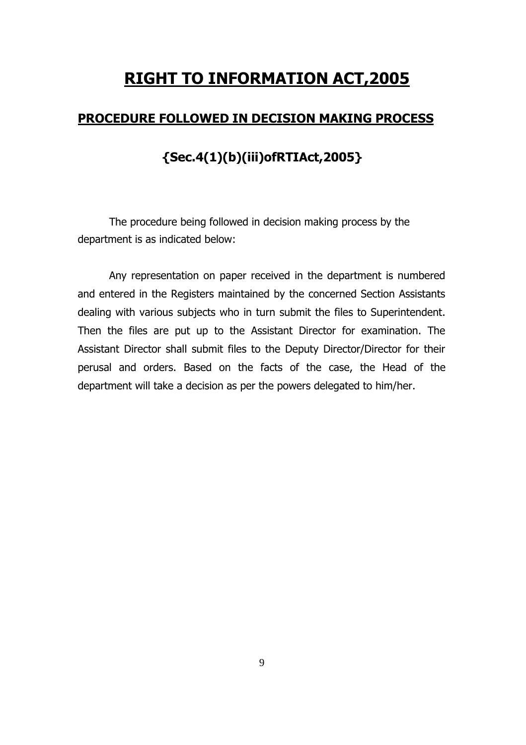#### **PROCEDURE FOLLOWED IN DECISION MAKING PROCESS**

### **{Sec.4(1)(b)(iii)ofRTIAct,2005}**

The procedure being followed in decision making process by the department is as indicated below:

Any representation on paper received in the department is numbered and entered in the Registers maintained by the concerned Section Assistants dealing with various subjects who in turn submit the files to Superintendent. Then the files are put up to the Assistant Director for examination. The Assistant Director shall submit files to the Deputy Director/Director for their perusal and orders. Based on the facts of the case, the Head of the department will take a decision as per the powers delegated to him/her.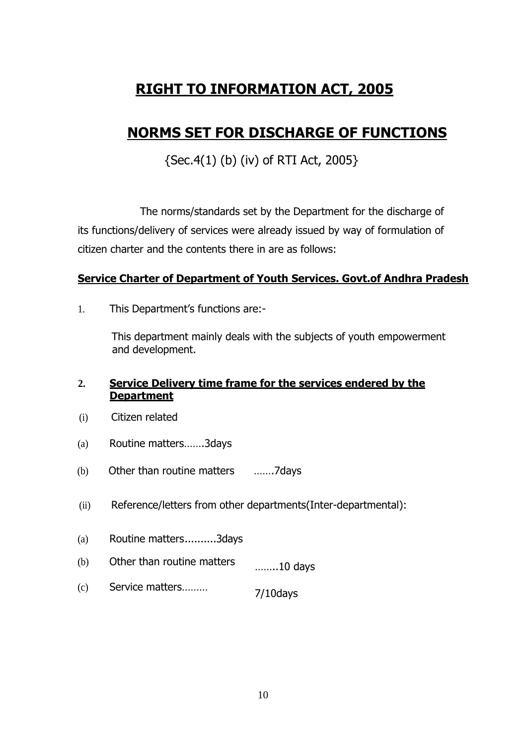## **NORMS SET FOR DISCHARGE OF FUNCTIONS**

 ${Sec.4(1) (b) (iv) of RTI Act, 2005}$ 

The norms/standards set by the Department for the discharge of its functions/delivery of services were already issued by way of formulation of citizen charter and the contents there in are as follows:

#### **Service Charter of Department of Youth Services. Govt.of Andhra Pradesh**

1. This Department's functions are:-

This department mainly deals with the subjects of youth empowerment and development.

#### **2. Service Delivery time frame for the services endered by the Department**

- (i) Citizen related
- (a) Routine matters…….3days
- (b) Other than routine matters …….7days
- (ii) Reference/letters from other departments(Inter-departmental):
- (a) Routine matters..........3days
- (b) Other than routine matters ……..10 days
- (c) Service matters……… 7/10days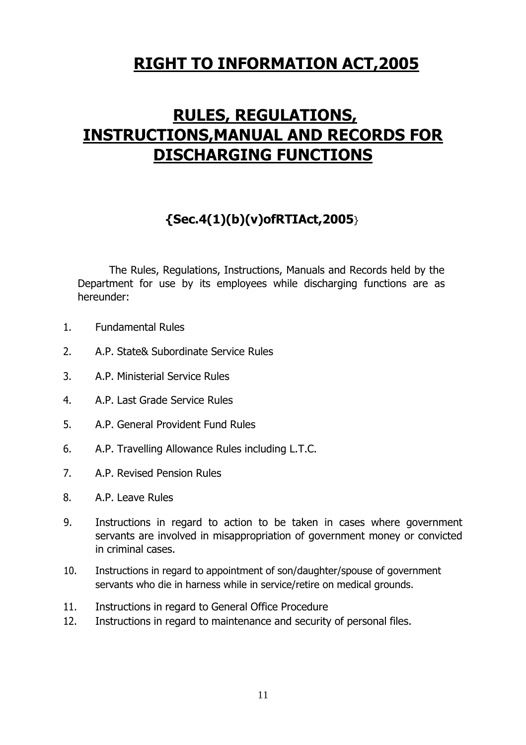# **RULES, REGULATIONS, INSTRUCTIONS,MANUAL AND RECORDS FOR DISCHARGING FUNCTIONS**

### **{Sec.4(1)(b)(v)ofRTIAct,2005**}

The Rules, Regulations, Instructions, Manuals and Records held by the Department for use by its employees while discharging functions are as hereunder:

- 1. Fundamental Rules
- 2. A.P. State& Subordinate Service Rules
- 3. A.P. Ministerial Service Rules
- 4. A.P. Last Grade Service Rules
- 5. A.P. General Provident Fund Rules
- 6. A.P. Travelling Allowance Rules including L.T.C.
- 7. A.P. Revised Pension Rules
- 8. A.P. Leave Rules
- 9. Instructions in regard to action to be taken in cases where government servants are involved in misappropriation of government money or convicted in criminal cases.
- 10. Instructions in regard to appointment of son/daughter/spouse of government servants who die in harness while in service/retire on medical grounds.
- 11. Instructions in regard to General Office Procedure
- 12. Instructions in regard to maintenance and security of personal files.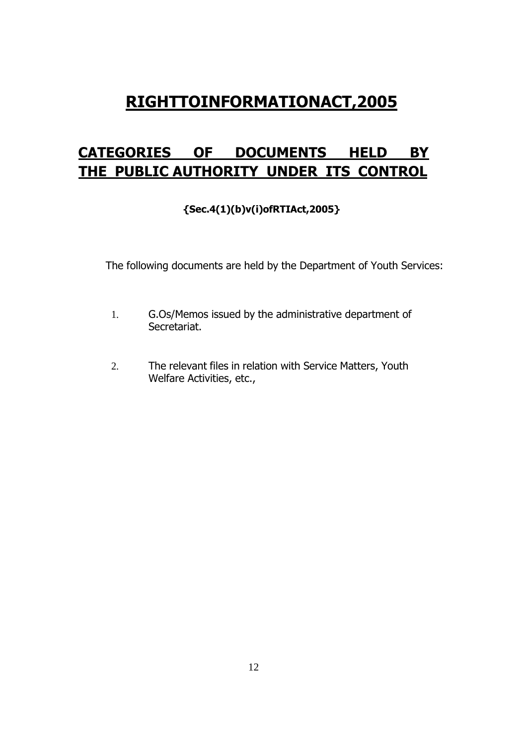## **CATEGORIES OF DOCUMENTS HELD BY THE PUBLIC AUTHORITY UNDER ITS CONTROL**

#### **{Sec.4(1)(b)v(i)ofRTIAct,2005}**

The following documents are held by the Department of Youth Services:

- 1. G.Os/Memos issued by the administrative department of Secretariat.
- 2. The relevant files in relation with Service Matters, Youth Welfare Activities, etc.,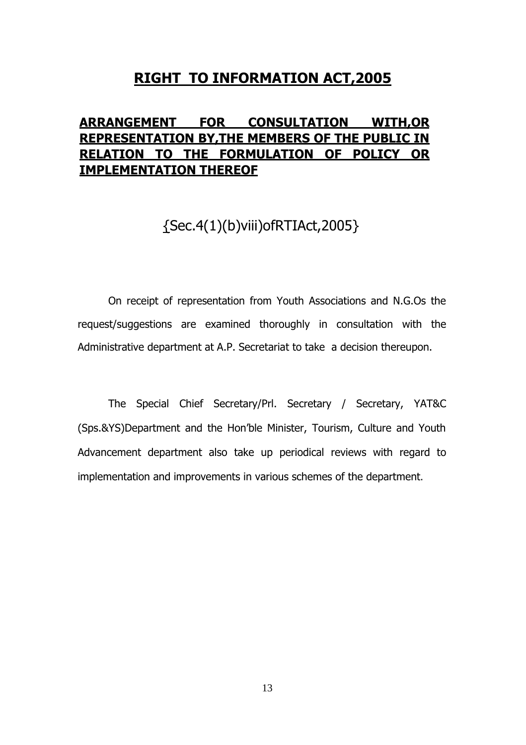#### **ARRANGEMENT FOR CONSULTATION WITH,OR REPRESENTATION BY,THE MEMBERS OF THE PUBLIC IN RELATION TO THE FORMULATION OF POLICY OR IMPLEMENTATION THEREOF**

## {Sec.4(1)(b)viii)ofRTIAct,2005}

On receipt of representation from Youth Associations and N.G.Os the request/suggestions are examined thoroughly in consultation with the Administrative department at A.P. Secretariat to take a decision thereupon.

The Special Chief Secretary/Prl. Secretary / Secretary, YAT&C (Sps.&YS)Department and the Hon'ble Minister, Tourism, Culture and Youth Advancement department also take up periodical reviews with regard to implementation and improvements in various schemes of the department.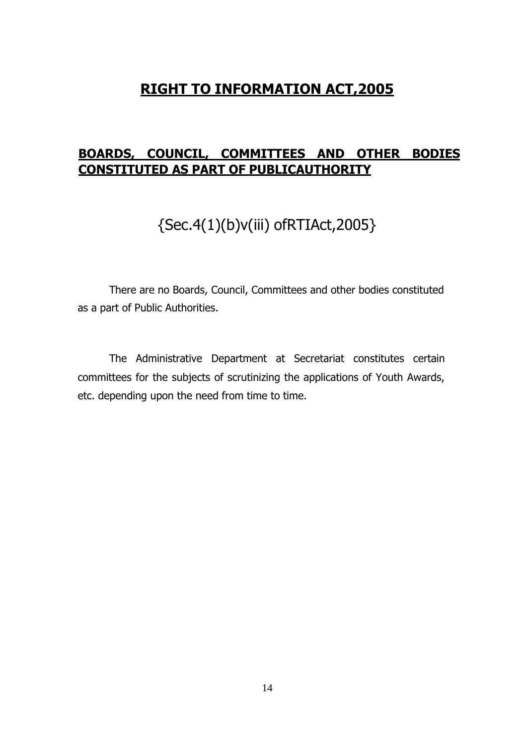#### **BOARDS, COUNCIL, COMMITTEES AND OTHER BODIES CONSTITUTED AS PART OF PUBLICAUTHORITY**

## {Sec.4(1)(b)v(iii) ofRTIAct,2005}

There are no Boards, Council, Committees and other bodies constituted as a part of Public Authorities.

The Administrative Department at Secretariat constitutes certain committees for the subjects of scrutinizing the applications of Youth Awards, etc. depending upon the need from time to time.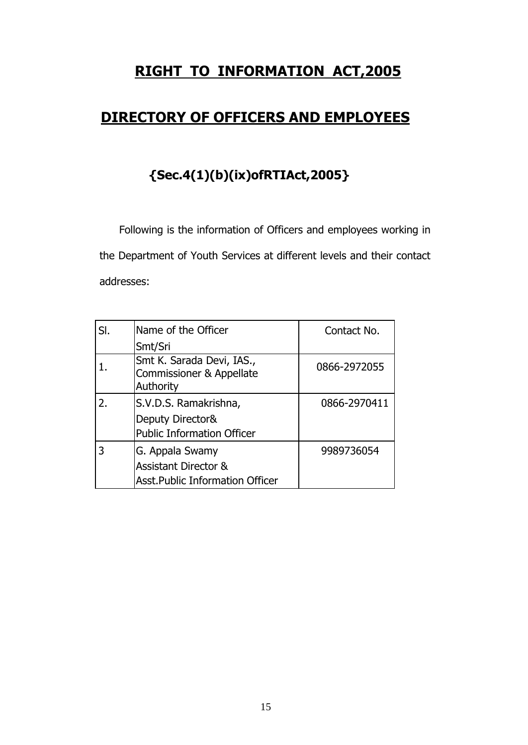## **DIRECTORY OF OFFICERS AND EMPLOYEES**

# **{Sec.4(1)(b)(ix)ofRTIAct,2005}**

Following is the information of Officers and employees working in the Department of Youth Services at different levels and their contact addresses:

| SI. | Name of the Officer                                                                          | Contact No.  |
|-----|----------------------------------------------------------------------------------------------|--------------|
|     | Smt/Sri                                                                                      |              |
|     | Smt K. Sarada Devi, IAS.,<br>Commissioner & Appellate<br>Authority                           | 0866-2972055 |
| 2.  | S.V.D.S. Ramakrishna,<br>Deputy Director&<br><b>Public Information Officer</b>               | 0866-2970411 |
| 3   | G. Appala Swamy<br><b>Assistant Director &amp;</b><br><b>Asst.Public Information Officer</b> | 9989736054   |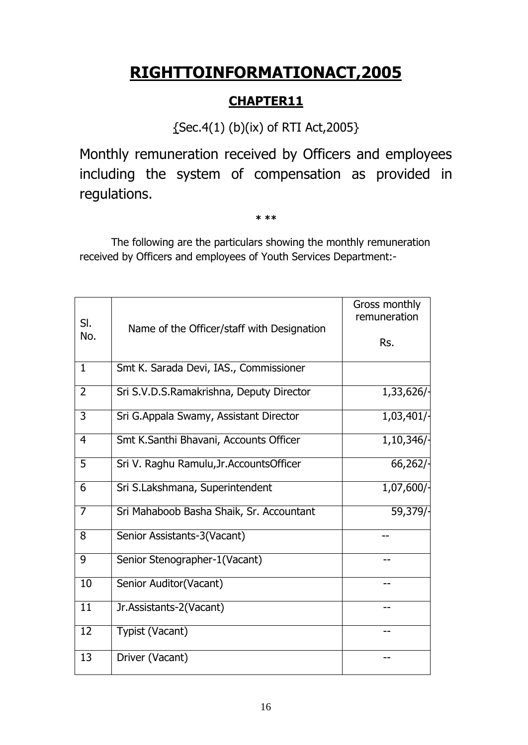### **CHAPTER11**

{Sec.4(1) (b)(ix) of RTI Act,2005}

Monthly remuneration received by Officers and employees including the system of compensation as provided in regulations.

**\* \*\***

The following are the particulars showing the monthly remuneration received by Officers and employees of Youth Services Department:-

| SI.             | Name of the Officer/staff with Designation | Gross monthly<br>remuneration |
|-----------------|--------------------------------------------|-------------------------------|
| No.             |                                            | Rs.                           |
| $\mathbf{1}$    | Smt K. Sarada Devi, IAS., Commissioner     |                               |
| $\overline{2}$  | Sri S.V.D.S.Ramakrishna, Deputy Director   | 1,33,626/-                    |
| 3               | Sri G.Appala Swamy, Assistant Director     | 1,03,401/                     |
| $\overline{4}$  | Smt K.Santhi Bhavani, Accounts Officer     | 1,10,346/                     |
| 5               | Sri V. Raghu Ramulu, Jr. Accounts Officer  | 66,262/                       |
| 6               | Sri S.Lakshmana, Superintendent            | 1,07,600/                     |
| $\overline{7}$  | Sri Mahaboob Basha Shaik, Sr. Accountant   | 59,379/                       |
| 8               | Senior Assistants-3(Vacant)                |                               |
| 9               | Senior Stenographer-1(Vacant)              | --                            |
| 10              | Senior Auditor(Vacant)                     |                               |
| $\overline{11}$ | Jr.Assistants-2(Vacant)                    |                               |
| 12              | Typist (Vacant)                            | --                            |
| 13              | Driver (Vacant)                            |                               |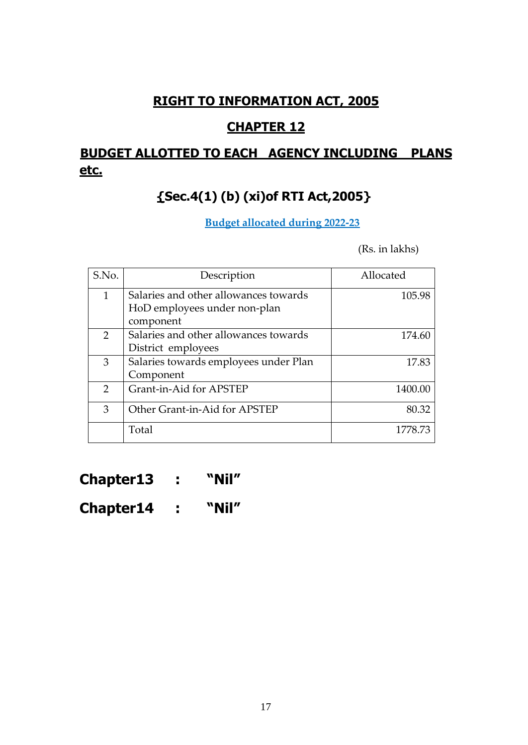### **CHAPTER 12**

## **BUDGET ALLOTTED TO EACH AGENCY INCLUDING PLANS etc.**

## **{Sec.4(1) (b) (xi)of RTI Act,2005}**

#### **Budget allocated during 2022-23**

(Rs. in lakhs)

| S.No.         | Description                                                                        | Allocated |
|---------------|------------------------------------------------------------------------------------|-----------|
| $\mathbf{1}$  | Salaries and other allowances towards<br>HoD employees under non-plan<br>component | 105.98    |
| $\mathcal{P}$ | Salaries and other allowances towards<br>District employees                        | 174.60    |
| 3             | Salaries towards employees under Plan<br>Component                                 | 17.83     |
| $\mathcal{P}$ | Grant-in-Aid for APSTEP                                                            | 1400.00   |
| 3             | Other Grant-in-Aid for APSTEP                                                      | 80.32     |
|               | Total                                                                              | 1778.73   |

**Chapter13 : "Nil"**

**Chapter14 : "Nil"**